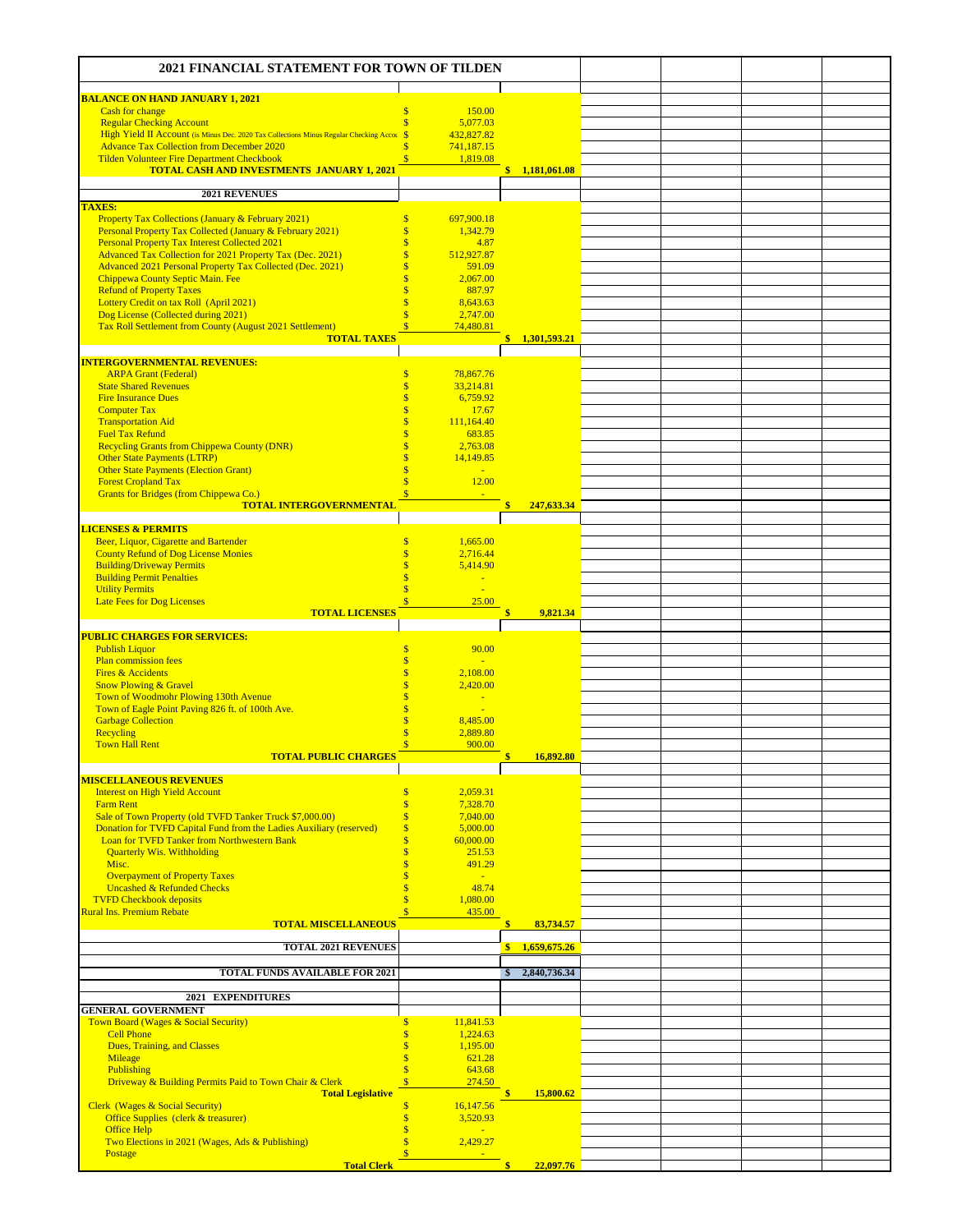| <b>2021 FINANCIAL STATEMENT FOR TOWN OF TILDEN</b>                                                                        |                                          |                               |              |                |  |  |
|---------------------------------------------------------------------------------------------------------------------------|------------------------------------------|-------------------------------|--------------|----------------|--|--|
| <b>BALANCE ON HAND JANUARY 1, 2021</b>                                                                                    |                                          |                               |              |                |  |  |
| Cash for change                                                                                                           | S                                        | 150.00                        |              |                |  |  |
| <b>Regular Checking Account</b><br>High Yield II Account (is Minus Dec. 2020 Tax Collections Minus Regular Checking Accou | $\mathbf{s}$<br>$\mathbf{s}$             | 5,077.03<br>432,827.82        |              |                |  |  |
| <b>Advance Tax Collection from December 2020</b>                                                                          |                                          | 741,187.15                    |              |                |  |  |
| <b>Tilden Volunteer Fire Department Checkbook</b><br><b>TOTAL CASH AND INVESTMENTS JANUARY 1, 2021</b>                    | $\overline{\mathbf{s}}$                  | 1,819.08                      |              | \$1,181,061.08 |  |  |
|                                                                                                                           |                                          |                               |              |                |  |  |
| 2021 REVENUES<br><b>TAXES:</b>                                                                                            |                                          |                               |              |                |  |  |
| <b>Property Tax Collections (January &amp; February 2021)</b>                                                             | \$                                       | 697,900.18                    |              |                |  |  |
| Personal Property Tax Collected (January & February 2021)                                                                 | $\overline{\mathbf{s}}$<br>Ś             | 1,342.79                      |              |                |  |  |
| <b>Personal Property Tax Interest Collected 2021</b><br>Advanced Tax Collection for 2021 Property Tax (Dec. 2021)         | Ś                                        | 4.87<br>512,927.87            |              |                |  |  |
| Advanced 2021 Personal Property Tax Collected (Dec. 2021)                                                                 | \$                                       | 591.09                        |              |                |  |  |
| Chippewa County Septic Main. Fee<br><b>Refund of Property Taxes</b>                                                       | Ś<br>Š                                   | 2,067.00<br>887.97            |              |                |  |  |
| Lottery Credit on tax Roll (April 2021)                                                                                   |                                          | 8,643.63                      |              |                |  |  |
| Dog License (Collected during 2021)<br>Tax Roll Settlement from County (August 2021 Settlement)                           | Š<br>$\overline{\mathbf{s}}$             | 2,747.00<br>74,480.81         |              |                |  |  |
| <b>TOTAL TAXES</b>                                                                                                        |                                          |                               |              | \$1,301,593.21 |  |  |
| <b>INTERGOVERNMENTAL REVENUES:</b>                                                                                        |                                          |                               |              |                |  |  |
| <b>ARPA Grant (Federal)</b>                                                                                               | $\overline{\mathbf{s}}$                  | 78,867.76                     |              |                |  |  |
| <b>State Shared Revenues</b><br><b>Fire Insurance Dues</b>                                                                | $\mathbf{s}$<br>$\mathbf{s}$             | 33,214.81<br>6,759.92         |              |                |  |  |
| <b>Computer Tax</b>                                                                                                       | \$                                       | 17.67                         |              |                |  |  |
| <b>Transportation Aid</b>                                                                                                 |                                          | 111,164.40                    |              |                |  |  |
| <b>Fuel Tax Refund</b><br><b>Recycling Grants from Chippewa County (DNR)</b>                                              |                                          | 683.85<br>2.763.08            |              |                |  |  |
| <b>Other State Payments (LTRP)</b>                                                                                        |                                          | 14,149.85                     |              |                |  |  |
| <b>Other State Payments (Election Grant)</b><br><b>Forest Cropland Tax</b>                                                | Ś<br>Š                                   | $\mathcal{L}$<br>12.00        |              |                |  |  |
| Grants for Bridges (from Chippewa Co.)                                                                                    | $\overline{\mathbf{s}}$                  |                               |              |                |  |  |
| <b>TOTAL INTERGOVERNMENTAL</b>                                                                                            |                                          |                               | \$           | 247,633.34     |  |  |
| <b>LICENSES &amp; PERMITS</b>                                                                                             |                                          |                               |              |                |  |  |
| Beer, Liquor, Cigarette and Bartender<br><b>County Refund of Dog License Monies</b>                                       | Ś<br>\$                                  | 1,665.00<br>2,716.44          |              |                |  |  |
| <b>Building/Driveway Permits</b>                                                                                          | Š                                        | 5,414.90                      |              |                |  |  |
| <b>Building Permit Penalties</b><br><b>Utility Permits</b>                                                                | Š<br>s                                   | Ξ<br>$\overline{\phantom{a}}$ |              |                |  |  |
| <b>Late Fees for Dog Licenses</b>                                                                                         |                                          | 25.00                         |              |                |  |  |
| <b>TOTAL LICENSES</b>                                                                                                     |                                          |                               | Ś            | 9,821.34       |  |  |
| <b>PUBLIC CHARGES FOR SERVICES:</b>                                                                                       |                                          |                               |              |                |  |  |
| <b>Publish Liquor</b><br><b>Plan commission fees</b>                                                                      | \$<br>\$                                 | 90.00<br>÷                    |              |                |  |  |
| <b>Fires &amp; Accidents</b>                                                                                              |                                          | 2,108.00                      |              |                |  |  |
| <b>Snow Plowing &amp; Gravel</b>                                                                                          |                                          | 2,420.00                      |              |                |  |  |
| Town of Woodmohr Plowing 130th Avenue<br>Town of Eagle Point Paving 826 ft. of 100th Ave.                                 |                                          |                               |              |                |  |  |
| <b>Garbage Collection</b>                                                                                                 |                                          | 8,485.00                      |              |                |  |  |
| Recycling<br><b>Town Hall Rent</b>                                                                                        | Ś<br>Ś                                   | 2,889.80<br>900.00            |              |                |  |  |
| <b>TOTAL PUBLIC CHARGES</b>                                                                                               |                                          |                               |              | 16,892.80      |  |  |
| <b>MISCELLANEOUS REVENUES</b>                                                                                             |                                          |                               |              |                |  |  |
| <b>Interest on High Yield Account</b>                                                                                     | $\mathsf{s}$                             | 2,059.31                      |              |                |  |  |
| <b>Farm Rent</b><br>Sale of Town Property (old TVFD Tanker Truck \$7,000.00)                                              | $\overline{\mathbf{s}}$<br>$\mathsf{\$}$ | 7,328.70<br>7,040.00          |              |                |  |  |
| Donation for TVFD Capital Fund from the Ladies Auxiliary (reserved)                                                       | $\boldsymbol{\mathsf{s}}$                | 5,000.00                      |              |                |  |  |
| Loan for TVFD Tanker from Northwestern Bank<br><b>Quarterly Wis. Withholding</b>                                          | $\mathbf{s}$<br>\$                       | 60,000.00<br>251.53           |              |                |  |  |
| Misc.                                                                                                                     | \$                                       | 491.29                        |              |                |  |  |
| <b>Overpayment of Property Taxes</b><br><b>Uncashed &amp; Refunded Checks</b>                                             | \$<br>\$                                 | $\blacksquare$<br>48.74       |              |                |  |  |
| <b>TVFD Checkbook deposits</b>                                                                                            | $\overline{\mathbf{s}}$                  | 1,080.00                      |              |                |  |  |
| <b>Rural Ins. Premium Rebate</b>                                                                                          |                                          | 435.00                        | \$           |                |  |  |
| <b>TOTAL MISCELLANEOUS</b>                                                                                                |                                          |                               |              | 83,734.57      |  |  |
| <b>TOTAL 2021 REVENUES</b>                                                                                                |                                          |                               |              | \$1,659,675.26 |  |  |
| <b>TOTAL FUNDS AVAILABLE FOR 2021</b>                                                                                     |                                          |                               | Ŝ.           | 2,840,736.34   |  |  |
|                                                                                                                           |                                          |                               |              |                |  |  |
| 2021<br><b>EXPENDITURES</b><br><b>GENERAL GOVERNMENT</b>                                                                  |                                          |                               |              |                |  |  |
| Town Board (Wages & Social Security)                                                                                      | \$                                       | 11,841.53                     |              |                |  |  |
| <b>Cell Phone</b><br>Dues, Training, and Classes                                                                          | \$<br>$\overline{\mathbf{s}}$            | 1,224.63<br>1,195.00          |              |                |  |  |
| Mileage                                                                                                                   | \$                                       | 621.28                        |              |                |  |  |
| Publishing<br>Driveway & Building Permits Paid to Town Chair & Clerk                                                      | $\overline{\mathbf{s}}$<br>$\mathbf{s}$  | 643.68<br>274.50              |              |                |  |  |
| <b>Total Legislative</b>                                                                                                  |                                          |                               | $\mathbf{s}$ | 15,800.62      |  |  |
| <b>Clerk</b> (Wages & Social Security)                                                                                    | $\mathbf{s}$<br>$\mathbf{s}$             | 16,147.56                     |              |                |  |  |
| Office Supplies (clerk & treasurer)<br><b>Office Help</b>                                                                 | Ś                                        | 3,520.93                      |              |                |  |  |
| Two Elections in 2021 (Wages, Ads & Publishing)<br>Postage                                                                | $\overline{\mathbf{s}}$                  | 2,429.27                      |              |                |  |  |
|                                                                                                                           |                                          |                               |              | 22,097.76      |  |  |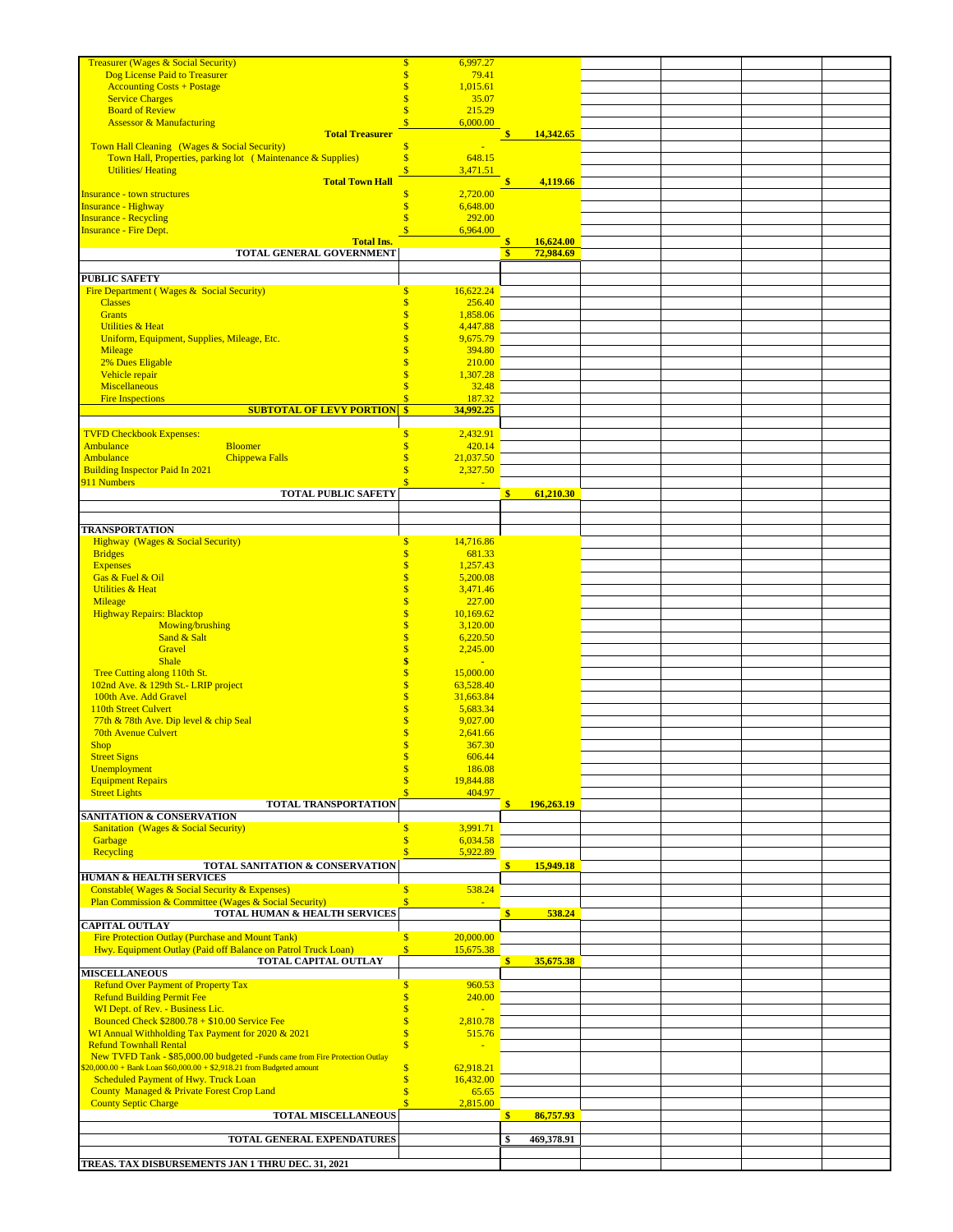| <b>Treasurer (Wages &amp; Social Security)</b>                                                                                                        | \$<br>6,997.27                                      |                                                                         |  |  |
|-------------------------------------------------------------------------------------------------------------------------------------------------------|-----------------------------------------------------|-------------------------------------------------------------------------|--|--|
| Dog License Paid to Treasurer                                                                                                                         | $\overline{\mathbf{S}}$<br>79.41                    |                                                                         |  |  |
| <b>Accounting Costs + Postage</b>                                                                                                                     | \$<br>1,015.61                                      |                                                                         |  |  |
| <b>Service Charges</b><br><b>Board of Review</b>                                                                                                      | $\mathbf{s}$<br>35.07<br>$\mathbf{s}$<br>215.29     |                                                                         |  |  |
| <b>Assessor &amp; Manufacturing</b>                                                                                                                   | $\overline{\mathbf{S}}$<br>6,000.00                 |                                                                         |  |  |
| <b>Total Treasurer</b>                                                                                                                                |                                                     | 14,342.65<br>\$                                                         |  |  |
| Town Hall Cleaning (Wages & Social Security)                                                                                                          | \$                                                  |                                                                         |  |  |
| Town Hall, Properties, parking lot (Maintenance & Supplies)                                                                                           | $\mathbf{s}$<br>648.15                              |                                                                         |  |  |
| <b>Utilities/Heating</b><br><b>Total Town Hall</b>                                                                                                    | Ś<br>3,471.51                                       | 4,119.66<br>Ś                                                           |  |  |
| <b>Insurance - town structures</b>                                                                                                                    | \$<br>2,720.00                                      |                                                                         |  |  |
| <b>Insurance - Highway</b>                                                                                                                            | \$<br>6,648.00                                      |                                                                         |  |  |
| <b>Insurance - Recycling</b>                                                                                                                          | Ś<br>292.00                                         |                                                                         |  |  |
| <b>Insurance - Fire Dept.</b>                                                                                                                         | $\overline{\mathbf{s}}$<br>6,964.00                 |                                                                         |  |  |
| <b>Total Ins.</b><br>TOTAL GENERAL GOVERNMENT                                                                                                         |                                                     | $\mathbf{\hat{s}}$<br>16,624.00<br>$\overline{\mathbf{s}}$<br>72,984.69 |  |  |
|                                                                                                                                                       |                                                     |                                                                         |  |  |
| <b>PUBLIC SAFETY</b>                                                                                                                                  |                                                     |                                                                         |  |  |
| Fire Department (Wages & Social Security)                                                                                                             | 16,622.24<br>\$                                     |                                                                         |  |  |
| <b>Classes</b>                                                                                                                                        | \$<br>256.40<br>$\overline{\mathbf{s}}$             |                                                                         |  |  |
| <b>Grants</b><br><b>Utilities &amp; Heat</b>                                                                                                          | 1,858.06<br>4,447.88<br>\$                          |                                                                         |  |  |
| Uniform, Equipment, Supplies, Mileage, Etc.                                                                                                           | \$<br>9,675.79                                      |                                                                         |  |  |
| Mileage                                                                                                                                               | \$<br>394.80                                        |                                                                         |  |  |
| 2% Dues Eligable                                                                                                                                      | S<br>210.00                                         |                                                                         |  |  |
| Vehicle repair                                                                                                                                        | 1,307.28<br>Ś                                       |                                                                         |  |  |
| <b>Miscellaneous</b><br><b>Fire Inspections</b>                                                                                                       | Ś<br>32.48<br>187.32<br>Ś                           |                                                                         |  |  |
| <b>SUBTOTAL OF LEVY PORTION</b>                                                                                                                       | $\frac{1}{2}$<br>34,992.25                          |                                                                         |  |  |
|                                                                                                                                                       |                                                     |                                                                         |  |  |
| <b>TVFD Checkbook Expenses:</b>                                                                                                                       | $\sqrt{3}$<br>2,432.91                              |                                                                         |  |  |
| Ambulance<br><b>Bloomer</b><br>Ambulance<br><b>Chippewa Falls</b>                                                                                     | \$<br>420.14<br>21,037.50<br>\$                     |                                                                         |  |  |
| <b>Building Inspector Paid In 2021</b>                                                                                                                | 2,327.50<br>Ś                                       |                                                                         |  |  |
| 911 Numbers                                                                                                                                           | Ś                                                   |                                                                         |  |  |
| <b>TOTAL PUBLIC SAFETY</b>                                                                                                                            |                                                     | 61,210.30<br>\$                                                         |  |  |
|                                                                                                                                                       |                                                     |                                                                         |  |  |
| <b>TRANSPORTATION</b>                                                                                                                                 |                                                     |                                                                         |  |  |
| <b>Highway</b> (Wages & Social Security)                                                                                                              | $\mathsf{s}$<br>14,716.86                           |                                                                         |  |  |
| <b>Bridges</b>                                                                                                                                        | $\overline{\mathbf{s}}$<br>681.33                   |                                                                         |  |  |
| <b>Expenses</b>                                                                                                                                       | 1,257.43<br>\$                                      |                                                                         |  |  |
| Gas & Fuel & Oil                                                                                                                                      | \$<br>5,200.08                                      |                                                                         |  |  |
| <b>Utilities &amp; Heat</b><br>Mileage                                                                                                                | \$<br>3,471.46<br>\$<br>227.00                      |                                                                         |  |  |
| <b>Highway Repairs: Blacktop</b>                                                                                                                      | \$<br>10,169.62                                     |                                                                         |  |  |
| Mowing/brushing                                                                                                                                       | \$<br>3,120.00                                      |                                                                         |  |  |
| Sand & Salt                                                                                                                                           | $\overline{\mathbf{S}}$<br>6,220.50                 |                                                                         |  |  |
| Gravel                                                                                                                                                | \$<br>2,245.00                                      |                                                                         |  |  |
| <b>Shale</b><br>Tree Cutting along 110th St.                                                                                                          | \$<br>$\blacksquare$<br>$\mathbf{s}$<br>15,000.00   |                                                                         |  |  |
| 102nd Ave. & 129th St.- LRIP project                                                                                                                  | $\overline{\mathbf{S}}$<br>63,528.40                |                                                                         |  |  |
| 100th Ave. Add Gravel                                                                                                                                 | \$<br>31,663.84                                     |                                                                         |  |  |
| 110th Street Culvert                                                                                                                                  | \$<br>5,683.34                                      |                                                                         |  |  |
| 77th & 78th Ave. Dip level & chip Seal                                                                                                                | \$<br>9,027.00<br>$\mathbf{\hat{s}}$                |                                                                         |  |  |
| <b>70th Avenue Culvert</b><br><b>Shop</b>                                                                                                             | 2,641.66<br>$\mathbf{s}$<br>367.30                  |                                                                         |  |  |
| <b>Street Signs</b>                                                                                                                                   | 606.44                                              |                                                                         |  |  |
| Unemployment                                                                                                                                          | Ś<br>186.08                                         |                                                                         |  |  |
| <b>Equipment Repairs</b>                                                                                                                              | 19,844.88                                           |                                                                         |  |  |
| <b>Street Lights</b>                                                                                                                                  | 404.97                                              | \$                                                                      |  |  |
| TOTAL TRANSPORTATION<br>SANITATION & CONSERVATION                                                                                                     |                                                     | 196,263.19                                                              |  |  |
| <b>Sanitation</b> (Wages & Social Security)                                                                                                           | 3,991.71<br>\$                                      |                                                                         |  |  |
| Garbage                                                                                                                                               | Ś<br>6,034.58                                       |                                                                         |  |  |
| Recycling                                                                                                                                             | 5,922.89                                            |                                                                         |  |  |
| TOTAL SANITATION & CONSERVATION<br><b>HUMAN &amp; HEALTH SERVICES</b>                                                                                 |                                                     | 15,949.18<br>\$                                                         |  |  |
| Constable(Wages & Social Security & Expenses)                                                                                                         | 538.24<br>$\mathbf{s}$                              |                                                                         |  |  |
| Plan Commission & Committee (Wages & Social Security)                                                                                                 | $\overline{\mathbf{s}}$                             |                                                                         |  |  |
| TOTAL HUMAN & HEALTH SERVICES                                                                                                                         |                                                     | \$<br>538.24                                                            |  |  |
| CAPITAL OUTLAY                                                                                                                                        |                                                     |                                                                         |  |  |
| <b>Fire Protection Outlay (Purchase and Mount Tank)</b><br>Hwy. Equipment Outlay (Paid off Balance on Patrol Truck Loan)                              | S<br>20,000.00<br>$\sqrt{\frac{2}{5}}$<br>15,675.38 |                                                                         |  |  |
| TOTAL CAPITAL OUTLAY                                                                                                                                  |                                                     | $\frac{\$}{\$}$ 35,675.38                                               |  |  |
| <b>MISCELLANEOUS</b>                                                                                                                                  |                                                     |                                                                         |  |  |
| <b>Refund Over Payment of Property Tax</b>                                                                                                            | $\mathsf{\$}$<br>960.53                             |                                                                         |  |  |
| <b>Refund Building Permit Fee</b><br>WI Dept. of Rev. - Business Lic.                                                                                 | $\mathbf{s}$<br>240.00<br>\$                        |                                                                         |  |  |
| Bounced Check $$2800.78 + $10.00$ Service Fee                                                                                                         | \$<br>2,810.78                                      |                                                                         |  |  |
| WI Annual Withholding Tax Payment for 2020 & 2021                                                                                                     | $\overline{\mathbf{s}}$<br>515.76                   |                                                                         |  |  |
| <b>Refund Townhall Rental</b>                                                                                                                         | $\overline{\mathbf{s}}$                             |                                                                         |  |  |
| New TVFD Tank - \$85,000.00 budgeted -Funds came from Fire Protection Outlay<br>$20,000.00 +$ Bank Loan \$60,000.00 + \$2,918.21 from Budgeted amount | \$<br>62,918.21                                     |                                                                         |  |  |
| <b>Scheduled Payment of Hwy. Truck Loan</b>                                                                                                           | $\overline{\mathbf{s}}$<br>16,432.00                |                                                                         |  |  |
| County Managed & Private Forest Crop Land                                                                                                             | Ś<br>65.65                                          |                                                                         |  |  |
| <b>County Septic Charge</b>                                                                                                                           | 2,815.00                                            |                                                                         |  |  |
| <b>TOTAL MISCELLANEOUS</b>                                                                                                                            |                                                     | 86,757.93<br>S.                                                         |  |  |
| TOTAL GENERAL EXPENDATURES                                                                                                                            |                                                     | \$<br>469,378.91                                                        |  |  |
|                                                                                                                                                       |                                                     |                                                                         |  |  |
| TREAS. TAX DISBURSEMENTS JAN 1 THRU DEC. 31, 2021                                                                                                     |                                                     |                                                                         |  |  |
|                                                                                                                                                       |                                                     |                                                                         |  |  |